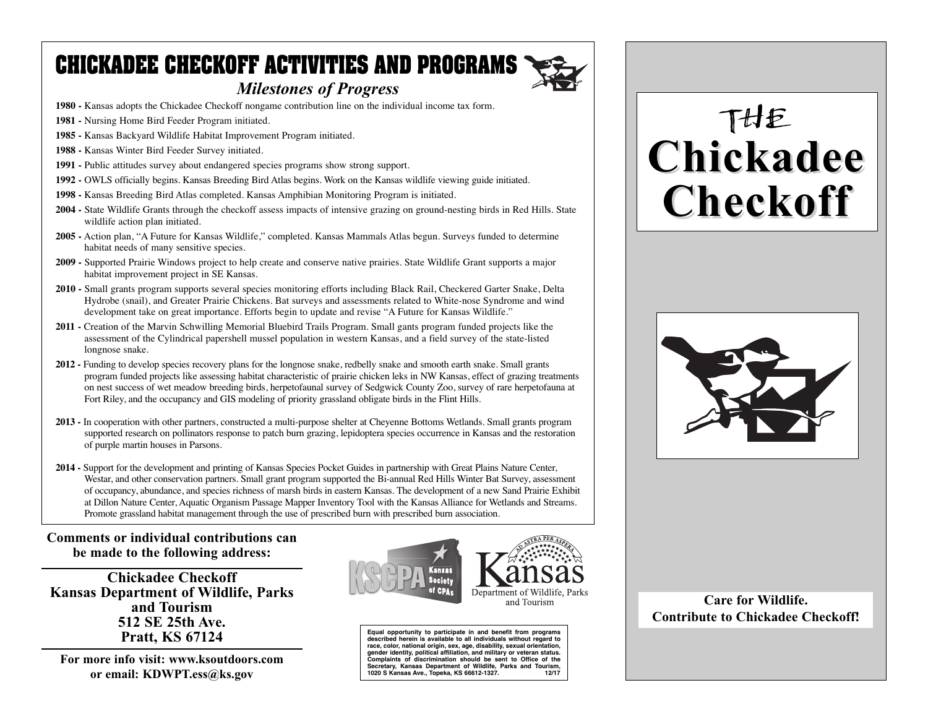## **CHICKADEE CHECKOFF ACTIVITIES AND PROGRAMS**

- **1980 -** Kansas adopts the Chickadee Checkoff nongame contribution line on the individual income tax form.
- **1981 -** Nursing Home Bird Feeder Program initiated.
- **1985 -** Kansas Backyard Wildlife Habitat Improvement Program initiated.
- **1988 -** Kansas Winter Bird Feeder Survey initiated.
- **1991 -** Public attitudes survey about endangered species programs show strong support.
- **1992 -** OWLS officially begins. Kansas Breeding Bird Atlas begins. Work on the Kansas wildlife viewing guide initiated.
- **1998 -** Kansas Breeding Bird Atlas completed. Kansas Amphibian Monitoring Program is initiated.
- **2004 -** State Wildlife Grants through the checkoff assess impacts of intensive grazing on ground-nesting birds in Red Hills. State wildlife action plan initiated.
- **2005 -** Action plan, "A Future for Kansas Wildlife," completed. Kansas Mammals Atlas begun. Surveys funded to determine habitat needs of many sensitive species.
- **2009** Supported Prairie Windows project to help create and conserve native prairies. State Wildlife Grant supports a major habitat improvement project in SE Kansas.
- **2010** Small grants program supports several species monitoring efforts including Black Rail, Checkered Garter Snake, Delta Hydrobe (snail), and Greater Prairie Chickens. Bat surveys and assessments related to White-nose Syndrome and wind development take on great importance. Efforts begin to update and revise "A Future for Kansas Wildlife."
- **2011** Creation of the Marvin Schwilling Memorial Bluebird Trails Program. Small gants program funded projects like the assessment of the Cylindrical papershell mussel population in western Kansas, and a field survey of the state-listed longnose snake.
- **2012** Funding to develop species recovery plans for the longnose snake, redbelly snake and smooth earth snake. Small grants program funded projects like assessing habitat characteristic of prairie chicken leks in NW Kansas, effect of grazing treatments on nest success of wet meadow breeding birds, herpetofaunal survey of Sedgwick County Zoo, survey of rare herpetofauna at Fort Riley, and the occupancy and GIS modeling of priority grassland obligate birds in the Flint Hills.
- **2013** In cooperation with other partners, constructed a multi-purpose shelter at Cheyenne Bottoms Wetlands. Small grants program supported research on pollinators response to patch burn grazing, lepidoptera species occurrence in Kansas and the restoration of purple martin houses in Parsons.
- **2014 -** Support for the development and printing of Kansas Species Pocket Guides in partnership with Great Plains Nature Center, Westar, and other conservation partners. Small grant program supported the Bi-annual Red Hills Winter Bat Survey, assessment of occupancy, abundance, and species richness of marsh birds in eastern Kansas. The development of a new Sand Prairie Exhibit at Dillon Nature Center, Aquatic Organism Passage Mapper Inventory Tool with the Kansas Alliance for Wetlands and Streams. Promote grassland habitat management through the use of prescribed burn with prescribed burn association.

#### **Comments or individual contributions can be made to the following address:**

**Chickadee Checkoff Kansas Department of Wildlife, Parks and Tourism 512 SE 25th Ave. Pratt, KS 67124**

**For more info visit: www.ksoutdoors.com or email: KDWPT.ess@ks.gov**



**Equal opportunity to participate in and benefit from programs described herein is available to all individuals without regard to race, color, national origin, sex, age, disability, sexual orientation, gender identity, political affiliation, and military or veteran status. Complaints of discrimination should be sent to Office of the Secretary, Kansas Department of Wildlife, Parks and Tourism,** 1020 S Kansas Ave., Topeka, KS 66612-1327.

# THE **Chickadee Chickadee Checkoff Checkoff**



**Care for Wildlife. Contribute to Chickadee Checkoff!**